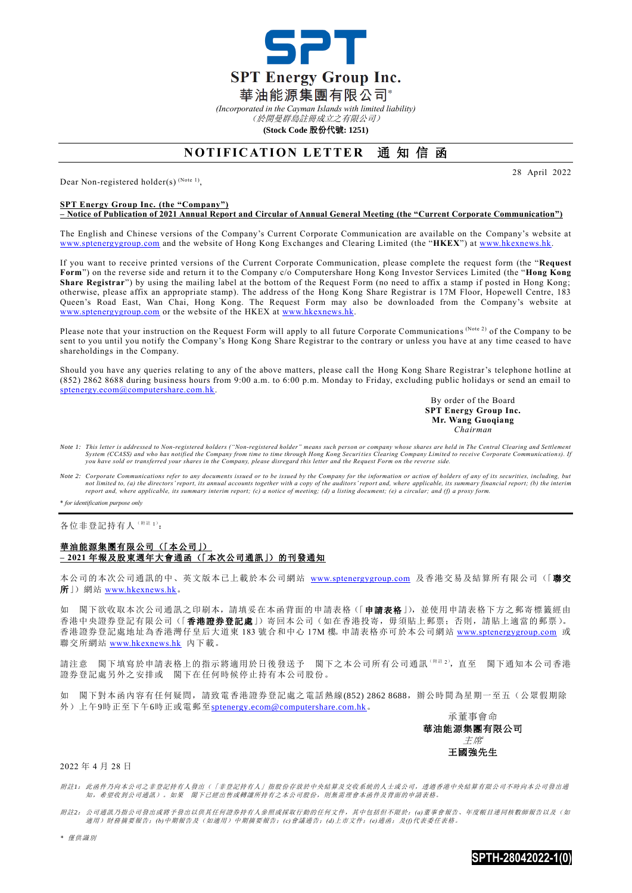

*(Incorporated in the Cayman Islands with limited liability)*

(於開曼群島註冊成立之有限公司) **(Stock Code** 股份代號**: 1251)**

## **NOTIFICATION LETTER 通知信函**

Dear Non-registered holder(s)  $^{(Note 1)}$ ,

## **SPT Energy Group Inc. (the "Company")**

**– Notice of Publication of 2021 Annual Report and Circular of Annual General Meeting (the "Current Corporate Communication")**

The English and Chinese versions of the Company's Current Corporate Communication are available on the Company's website at [www.sptenergygroup.com](http://www.sptenergygroup.com/) and the website of Hong Kong Exchanges and Clearing Limited (the "**HKEX**") at [www.hkexnews.hk.](http://www.hkexnews.hk/)

If you want to receive printed versions of the Current Corporate Communication, please complete the request form (the "**Request Form**") on the reverse side and return it to the Company c/o Computershare Hong Kong Investor Services Limited (the "**Hong Kong Share Registrar**") by using the mailing label at the bottom of the Request Form (no need to affix a stamp if posted in Hong Kong; otherwise, please affix an appropriate stamp). The address of the Hong Kong Share Registrar is 17M Floor, Hopewell Centre, 183 Queen's Road East, Wan Chai, Hong Kong. The Request Form may also be downloaded from the Company's website at [www.sptenergygroup.com](http://www.sptenergygroup.com/) or the website of the HKEX at [www.hkexnews.hk.](http://www.hkexnews.hk/)

Please note that your instruction on the Request Form will apply to all future Corporate Communications (Note 2) of the Company to be sent to you until you notify the Company's Hong Kong Share Registrar to the contrary or unless you have at any time ceased to have shareholdings in the Company.

Should you have any queries relating to any of the above matters, please call the Hong Kong Share Registrar's telephone hotline at (852) 2862 8688 during business hours from 9:00 a.m. to 6:00 p.m. Monday to Friday, excluding public holidays or send an email to [sptenergy.ecom@computershare.com.hk.](mailto:sptenergy.ecom@computershare.com.hk)

> By order of the Board **SPT Energy Group Inc. Mr. Wang Guoqiang** *Chairman*

28 April 2022

- *Note 1: This letter is addressed to Non-registered holders ("Non-registered holder" means such person or company whose shares are held in The Central Clearing and Settlement*  System (CCASS) and who has notified the Company from time to time through Hong Kong Securities Clearing Company Limited to receive Corporate Communications). If<br>you have sold or transferred your shares in the Company, plea
- *Note 2: Corporate Communications refer to any documents issued or to be issued by the Company for the information or action of holders of any of its securities, including, but*  not limited to, (a) the directors' report, its annual accounts together with a copy of the auditors' report and, where applicable, its summary financial report; (b) the interim<br>report and, where applicable, its summary int

\* *for identification purpose only*

各位非登記持有人( 附註 1):

## 華油能源集團有限公司(「本公司」) **– 2021** 年報及股東週年大會通函(「本次公司通訊」)的刊發通知

本公司的本次公司通訊的中、英文版本已上載於本公司網站 [www.sptenergygroup.com](http://www.sptenergygroup.com/) 及香港交易及結算所有限公司(「聯交 所」) 網站 [www.hkexnews.hk](http://www.hkexnews.hk/)。

如 閣下欲收取本次公司通訊之印刷本,請填妥在本函背面的申請表格(「申請表格」),並使用申請表格下方之郵寄標籤經由 香港中央證券登記有限公司(「香港證券登記處」)寄回本公司(如在香港投寄,毋須貼上郵票;否則,請貼上適當的郵票)。 香港證券登記處地址為香港灣仔皇后大道東 183 號合和中心 17M 樓。申請表格亦可於本公司網站 [www.sptenergygroup.com](http://www.sptenergygroup.com/) 或 聯交所網站 [www.hkexnews.hk](http://www.hkexnews.hk/) 內下載。

請注意 閣下填寫於申請表格上的指示將適用於日後發送予 閣下之本公司所有公司通訊(W注2),直至 閣下通知本公司香港 證券登記處另外之安排或 閣下在任何時候停止持有本公司股份。

如 閣下對本函內容有任何疑問,請致電香港證券登記處之電話熱線(852) 2862 8688,辦公時間為星期一至五(公眾假期除 外)上午9時正至下午6時正或電郵至[sptenergy.ecom@computershare.com.hk](mailto:sptenergy.ecom@computershare.com.hk)。

承董事會命 華油能源集團有限公司 主席 王國強先生

## 2022 年 4 月 28 日

附註*1*: 此函件乃向本公司之非登記持有人發出(「非登記持有人」指股份存放於中央結算及交收系統的人士或公司,透過香港中央結算有限公司不時向本公司發出通 知,希望收到公司通訊)。如果 閣下已經出售或轉讓所持有之本公司股份,則無需理會本函件及背面的申請表格。

附註*2*: 公司通訊乃指公司發出或將予發出以供其任何證券持有人參照或採取行動的任何文件,其中包括但不限於:*(a)*董事會報告、年度帳目連同核數師報告以及(如 適用)財務摘要報告;*(b)*中期報告及(如適用)中期摘要報告;*(c)*會議通告;*(d)*上市文件;*(e)*通函;及*(f)*代表委任表格。

*\** 僅供識別